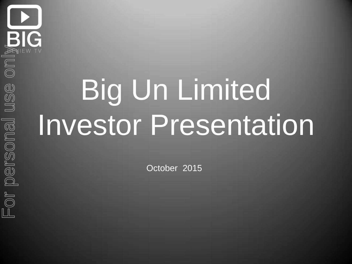## Big Un Limited Investor Presentation

October 2015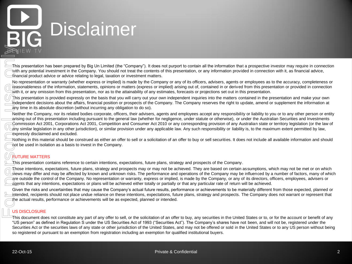## **Disclaimer**

This presentation has been prepared by Big Un Limited (the "Company"). It does not purport to contain all the information that a prospective investor may require in connection with any potential investment in the Company. You should not treat the contents of this presentation, or any information provided in connection with it, as financial advice, financial product advice or advice relating to legal, taxation or investment matters.

No representation or warranty (whether express or implied) is made by the Company or any of its officers, advisers, agents or employees as to the accuracy, completeness or reasonableness of the information, statements, opinions or matters (express or implied) arising out of, contained in or derived from this presentation or provided in connection with it, or any omission from this presentation, nor as to the attainability of any estimates, forecasts or projections set out in this presentation.

This presentation is provided expressly on the basis that you will carry out your own independent inquiries into the matters contained in the presentation and make your own independent decisions about the affairs, financial position or prospects of the Company. The Company reserves the right to update, amend or supplement the information at any time in its absolute discretion (without incurring any obligation to do so).

Neither the Company, nor its related bodies corporate, officers, their advisers, agents and employees accept any responsibility or liability to you or to any other person or entity arising out of this presentation including pursuant to the general law (whether for negligence, under statute or otherwise), or under the Australian Securities and Investments Commission Act 2001, Corporations Act 2001, Competition and Consumer Act 2010 or any corresponding provision of any Australian state or territory legislation (or the law of any similar legislation in any other jurisdiction), or similar provision under any applicable law. Any such responsibility or liability is, to the maximum extent permitted by law, expressly disclaimed and excluded. 22-Oct-15 Private the best proposed by Eq. Us Limited the Company.<sup>1</sup>). Indees not personal the information and a sumplementation of the internal use of the internal use of the internal use of the internal use of the inte

Nothing in this material should be construed as either an offer to sell or a solicitation of an offer to buy or sell securities. It does not include all available information and should not be used in isolation as a basis to invest in the Company.

#### FUTURE MATTERS

This presentation contains reference to certain intentions, expectations, future plans, strategy and prospects of the Company.

Those intentions, expectations, future plans, strategy and prospects may or may not be achieved. They are based on certain assumptions, which may not be met or on which views may differ and may be affected by known and unknown risks. The performance and operations of the Company may be influenced by a number of factors, many of which are outside the control of the Company. No representation or warranty, express or implied, is made by the Company, or any of its directors, officers, employees, advisers or agents that any intentions, expectations or plans will be achieved either totally or partially or that any particular rate of return will be achieved.

Given the risks and uncertainties that may cause the Company's actual future results, performance or achievements to be materially different from those expected, planned or intended, recipients should not place undue reliance on these intentions, expectations, future plans, strategy and prospects. The Company does not warrant or represent that the actual results, performance or achievements will be as expected, planned or intended.

#### US DISCLOSURE

This document does not constitute any part of any offer to sell, or the solicitation of an offer to buy, any securities in the United States or to, or for the account or benefit of any "US person" as defined in Regulation S under the US Securities Act of 1993 ("Securities Act"). The Company's shares have not been, and will not be, registered under the Securities Act or the securities laws of any state or other jurisdiction of the United States, and may not be offered or sold in the United States or to any US person without being so registered or pursuant to an exemption from registration including an exemption for qualified institutional buyers.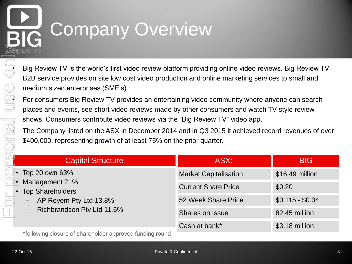## Company Overview

• Big Review TV is the world's first video review platform providing online video reviews. Big Review TV B2B service provides on site low cost video production and online marketing services to small and medium sized enterprises (SME's).

**• For consumers Big Review TV provides an entertaining video community where anyone can search**<br>• places and events, see short video reviews made by other consumers and watch TV style review places and events, see short video reviews made by other consumers and watch TV style review shows. Consumers contribute video reviews via the "Big Review TV" video app.

|  | shows. Consumers contribute video reviews via the "Big Review TV" video app.<br>The Company listed on the ASX in December 2014 and in Q3 2015 it achieved record revenues of over<br>\$400,000, representing growth of at least 75% on the prior quarter. |                              |                  |  |  |  |
|--|-----------------------------------------------------------------------------------------------------------------------------------------------------------------------------------------------------------------------------------------------------------|------------------------------|------------------|--|--|--|
|  | <b>Capital Structure</b>                                                                                                                                                                                                                                  | ASX:                         | <b>BIG</b>       |  |  |  |
|  | Top 20 own 63%<br>Management 21%<br><b>Top Shareholders</b><br>AP Reyem Pty Ltd 13.8%<br>—<br>Richbrandson Pty Ltd 11.6%<br>—<br>*following electure of charabolder approved funding round                                                                | <b>Market Capitalisation</b> | \$16.49 million  |  |  |  |
|  |                                                                                                                                                                                                                                                           | <b>Current Share Price</b>   | \$0.20           |  |  |  |
|  |                                                                                                                                                                                                                                                           | 52 Week Share Price          | $$0.115 - $0.34$ |  |  |  |
|  |                                                                                                                                                                                                                                                           | <b>Shares on Issue</b>       | 82.45 million    |  |  |  |
|  |                                                                                                                                                                                                                                                           | Cash at bank*                | \$3.18 million   |  |  |  |

\*following closure of shareholder approved funding round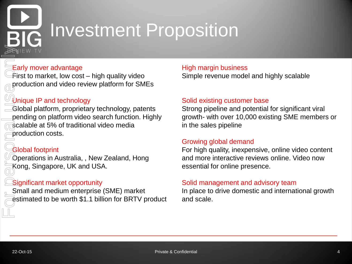## Investment Proposition

### Early mover advantage

First to market, low cost – high quality video production and video review platform for SMEs

### Unique IP and technology

Global platform, proprietary technology, patents pending on platform video search function. Highly scalable at 5% of traditional video media production costs. 22-Oct-15<br>
22-Oct-15<br>
22-Oct-15<br>
22-Oct-15<br>
22-Oct-15<br>
22-Oct-15<br>
22-Oct-15<br>
22-Oct-15<br>
22-Oct-16<br>
22-Oct-16<br>
22-Oct-16<br>
22-Oct-16<br>
22-Oct-16<br>
22-Oct-16<br>
22-Oct-16<br>
22-Oct-16<br>
22-Oct-16<br>
22-Oct-16<br>
22-Oct-16<br>
22-Oct-16<br>
22

#### Global footprint

Operations in Australia, , New Zealand, Hong Kong, Singapore, UK and USA.

#### Significant market opportunity

Small and medium enterprise (SME) market estimated to be worth \$1.1 billion for BRTV product

### High margin business

Simple revenue model and highly scalable

#### Solid existing customer base

Strong pipeline and potential for significant viral growth- with over 10,000 existing SME members or in the sales pipeline

#### Growing global demand

For high quality, inexpensive, online video content and more interactive reviews online. Video now essential for online presence.

#### Solid management and advisory team

In place to drive domestic and international growth and scale.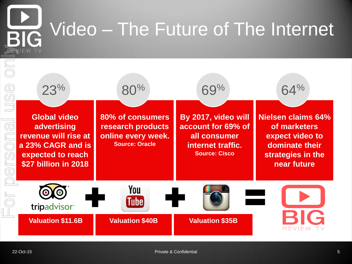## Video – The Future of The Internet **RIG**

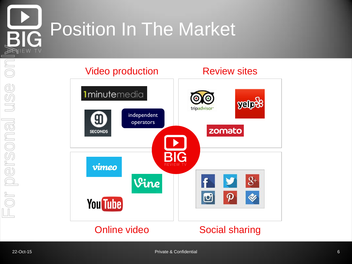

## Position In The Market

### Video production **Review sites**

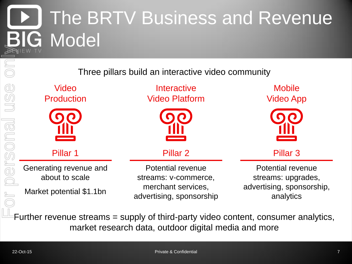## The BRTV Business and Revenue G Model

Three pillars build an interactive video community

| Video<br><b>Production</b>               | Interactive<br><b>Video Platform</b>             | <b>Mobile</b><br><b>Video App</b>                                                        |  |
|------------------------------------------|--------------------------------------------------|------------------------------------------------------------------------------------------|--|
|                                          |                                                  |                                                                                          |  |
| Pillar 1                                 | Pillar <sub>2</sub>                              | Pillar <sub>3</sub>                                                                      |  |
| Generating revenue and<br>about to scale | <b>Potential revenue</b><br>streams: v-commerce, | <b>Potential revenue</b><br>streams: upgrades,<br>advertising, sponsorship,<br>analytics |  |
| Market potential \$1.1bn                 | merchant services,<br>advertising, sponsorship   |                                                                                          |  |

Further revenue streams = supply of third-party video content, consumer analytics, market research data, outdoor digital media and more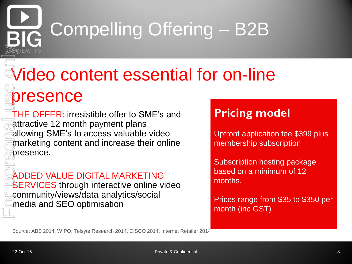## Compelling Offering – B2B

# Video content essential for on-line resence **Example 22-Oct-16**<br>
22-Oct-15<br>
22-Oct-16<br>
22-Oct-16<br>
22-Oct-16<br>
22-Oct-16<br>
22-Oct-16<br>
22-Oct-16<br>
22-Oct-16<br>
22-Oct-16<br>
22-Oct-16<br>
22-Oct-16<br>
22-Oct-16<br>
22-Oct-16<br>
22-Oct-16<br>
22-Oct-16<br>
22-Oct-16<br>
22-Oct-16<br>
22-Oct-16<br>
22-

THE OFFER: irresistible offer to SME's and attractive 12 month payment plans allowing SME's to access valuable video marketing content and increase their online presence.

ADDED VALUE DIGITAL MARKETING **SERVICES** through interactive online video community/views/data analytics/social media and SEO optimisation

### **Pricing model**

Upfront application fee \$399 plus membership subscription

Subscription hosting package based on a minimum of 12 months.

Prices range from \$35 to \$350 per month (inc GST)

Source: ABS 2014, WIPO, Telsyte Research 2014, CISCO 2014, Internet Retailer 2014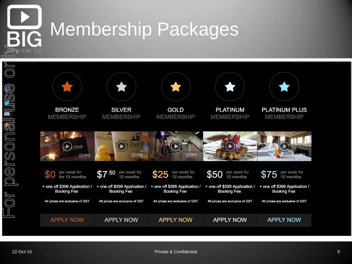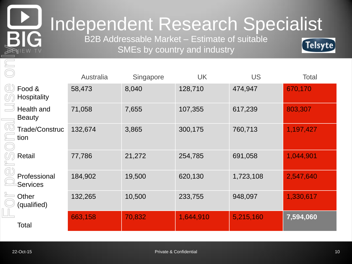

## Independent Research Specialist

B2B Addressable Market – Estimate of suitable SMEs by country and industry



| SMEs by country and industry<br><b>BENIEW TV</b> |           |           |           |           | <b>Telp</b> re |
|--------------------------------------------------|-----------|-----------|-----------|-----------|----------------|
|                                                  | Australia | Singapore | <b>UK</b> | <b>US</b> | <b>Total</b>   |
| Food &<br><b>Hospitality</b>                     | 58,473    | 8,040     | 128,710   | 474,947   | 670,170        |
| Health and<br><b>Beauty</b>                      | 71,058    | 7,655     | 107,355   | 617,239   | 803,307        |
| Trade/Construc<br>tion                           | 132,674   | 3,865     | 300,175   | 760,713   | 1,197,427      |
| Retail                                           | 77,786    | 21,272    | 254,785   | 691,058   | 1,044,901      |
| Professional<br>Services                         | 184,902   | 19,500    | 620,130   | 1,723,108 | 2,547,640      |
| Other<br>(qualified)                             | 132,265   | 10,500    | 233,755   | 948,097   | 1,330,617      |
| Total                                            | 663,158   | 70,832    | 1,644,910 | 5,215,160 | 7,594,060      |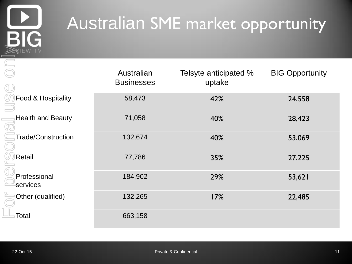

## Australian SME market opportunity

| <b>PENIEW TV</b>          |                                 |                                 |                        |
|---------------------------|---------------------------------|---------------------------------|------------------------|
|                           | Australian<br><b>Businesses</b> | Telsyte anticipated %<br>uptake | <b>BIG Opportunity</b> |
| Food & Hospitality        | 58,473                          | 42%                             | 24,558                 |
| <b>Health and Beauty</b>  | 71,058                          | 40%                             | 28,423                 |
| <b>Trade/Construction</b> | 132,674                         | 40%                             | 53,069                 |
| Retail                    | 77,786                          | 35%                             | 27,225                 |
| Professional<br>services  | 184,902                         | 29%                             | 53,621                 |
| Other (qualified)         | 132,265                         | 17%                             | 22,485                 |
| <b>Total</b>              | 663,158                         |                                 |                        |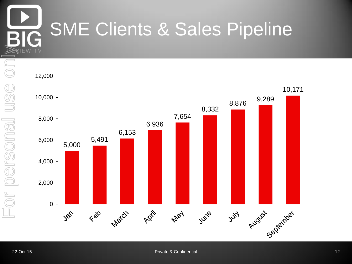## SME Clients & Sales Pipeline

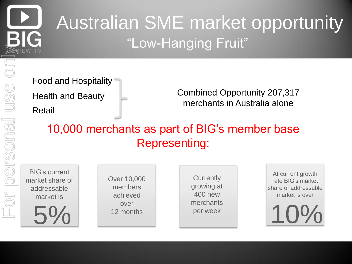## Australian SME market opportunity "Low-Hanging Fruit"

Food and Hospitality Health and Beauty Retail

Combined Opportunity 207,317 merchants in Australia alone

10,000 merchants as part of BIG's member base Representing:

BIG's current market share of addressable market is

5%

Over 10,000 members achieved over

**Currently** growing at 400 new merchants per week

At current growth rate BIG's market share of addressable market is over

12 months per week 10 merchants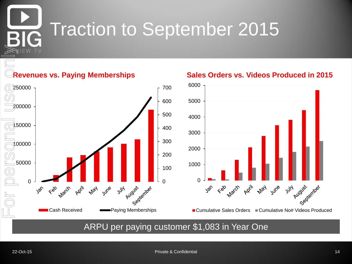## Traction to September 2015

### **Revenues vs. Paying Memberships**



## $\Omega$  ■ Cumulative Sales Orders ■ Cumulative No# Videos Produced

### ARPU per paying customer \$1,083 in Year One

#### **Sales Orders vs. Videos Produced in 2015**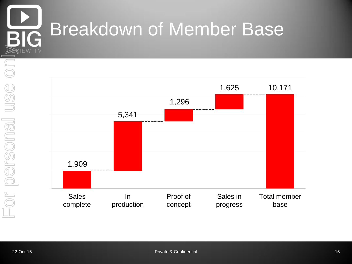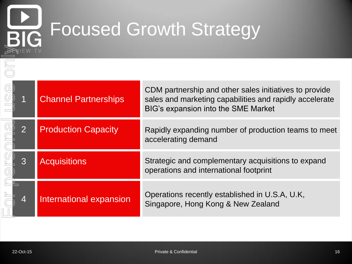## Focused Growth Strategy

|           | <b>Channel Partnerships</b>    | CDM partnership and other sales initiatives to provide<br>sales and marketing capabilities and rapidly accelerate<br>BIG's expansion into the SME Market |
|-----------|--------------------------------|----------------------------------------------------------------------------------------------------------------------------------------------------------|
|           | <b>Production Capacity</b>     | Rapidly expanding number of production teams to meet<br>accelerating demand                                                                              |
| 3         | <b>Acquisitions</b>            | Strategic and complementary acquisitions to expand<br>operations and international footprint                                                             |
| 4         | <b>International expansion</b> | Operations recently established in U.S.A, U.K,<br>Singapore, Hong Kong & New Zealand                                                                     |
|           |                                |                                                                                                                                                          |
| 22-Oct-15 |                                | Private & Confidential<br>16                                                                                                                             |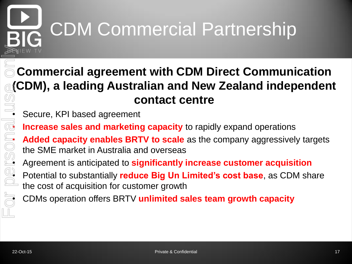## CDM Commercial Partnership

## **Commercial agreement with CDM Direct Communication (CDM), a leading Australian and New Zealand independent contact centre**  $\overline{\mathbb{C}}$ <br>• Secure, KPI based agreement

*<b>Increase sales and marketing capacity* to rapidly expand operations

Added capacity enables BRTV to scale as the company aggressively targets<br>the SME market in Australia and overseas<br>Agreement is anticipated to significantly increase customer acquisition<br>Potential to substantially reduce Bi the SME market in Australia and overseas

• Agreement is anticipated to **significantly increase customer acquisition**

• Potential to substantially **reduce Big Un Limited's cost base**, as CDM share the cost of acquisition for customer growth

• CDMs operation offers BRTV **unlimited sales team growth capacity**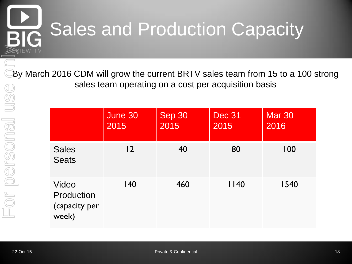## Sales and Production Capacity **RIG**

By March 2016 CDM will grow the current BRTV sales team from 15 to a 100 strong sales team operating on a cost per acquisition basis

|                                               | June 30<br>2015 | Sep 30<br>2015 | <b>Dec 31</b><br>2015 | <b>Mar 30</b><br>2016 |
|-----------------------------------------------|-----------------|----------------|-----------------------|-----------------------|
| <b>Sales</b><br><b>Seats</b>                  | $\overline{2}$  | 40             | 80                    | 100                   |
| Video<br>Production<br>(capacity per<br>week) | 140             | 460            | 1140                  | 1540                  |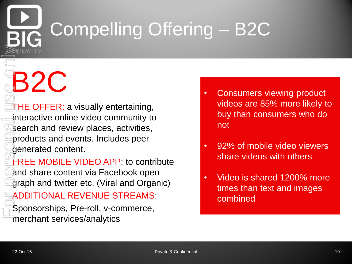## Compelling Offering – B2C

**THE OFFER: a visually entertaining,** interactive online video community to **B2C** • Consumers viewing product

search and review places, activities, products and events. Includes peer generated content.

FREE MOBILE VIDEO APP: to contribute and share content via Facebook open graph and twitter etc. (Viral and Organic) 22-OCHER: a visually entertaining,<br>
22-OCHER: a visually entertaining,<br>
interactive online video community to<br>
interactive places, activities,<br>
a products and events. Includes peer<br>
and share content via Facebook open<br>
22%

ADDITIONAL REVENUE STREAMS:

Sponsorships, Pre-roll, v-commerce, merchant services/analytics

- videos are 85% more likely to buy than consumers who do not
- 92% of mobile video viewers share videos with others
- Video is shared 1200% more times than text and images combined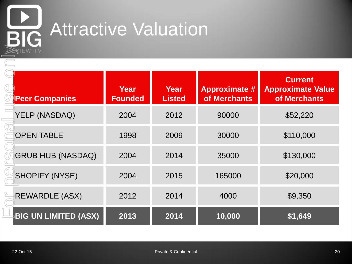

# **BIG** Attractive Valuation

| <b>PENIEW TV</b>            |                        |                        |                                      |                                                            |  |
|-----------------------------|------------------------|------------------------|--------------------------------------|------------------------------------------------------------|--|
| <b>Peer Companies</b>       | Year<br><b>Founded</b> | Year<br><b>Listed</b>  | <b>Approximate #</b><br>of Merchants | <b>Current</b><br><b>Approximate Value</b><br>of Merchants |  |
| YELP (NASDAQ)               | 2004                   | 2012                   | 90000                                | \$52,220                                                   |  |
| <b>OPEN TABLE</b>           | 1998                   | 2009                   | 30000                                | \$110,000                                                  |  |
| <b>GRUB HUB (NASDAQ)</b>    | 2004                   | 2014                   | 35000                                | \$130,000                                                  |  |
| <b>SHOPIFY (NYSE)</b>       | 2004                   | 2015                   | 165000                               | \$20,000                                                   |  |
| <b>REWARDLE (ASX)</b>       | 2012                   | 2014                   | 4000                                 | \$9,350                                                    |  |
| <b>BIG UN LIMITED (ASX)</b> | 2013                   | 2014                   | 10,000                               | \$1,649                                                    |  |
|                             |                        |                        |                                      |                                                            |  |
| 22-Oct-15                   |                        | Private & Confidential |                                      | 20                                                         |  |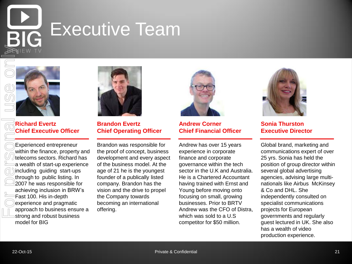## Executive Team



**Richard Evertz Chief Executive Officer**

Experienced entrepreneur within the finance, property and telecoms sectors. Richard has a wealth of start-up experience including guiding start-ups through to public listing. In 2007 he was responsible for achieving inclusion in BRW's Fast 100. His in-depth experience and pragmatic approach to business ensure a strong and robust business model for BIG



**Brandon Evertz Chief Operating Officer**

Brandon was responsible for the proof of concept, business development and every aspect of the business model. At the age of 21 he is the youngest founder of a publically listed company. Brandon has the vision and the drive to propel the Company towards becoming an international offering.



**Andrew Corner Chief Financial Officer**

Andrew has over 15 years experience in corporate finance and corporate governance within the tech sector in the U.K and Australia. He is a Chartered Accountant having trained with Ernst and Young before moving onto focusing on small, growing businesses. Prior to BRTV Andrew was the CFO of Distra, which was sold to a U.S competitor for \$50 million.



**Sonia Thurston Executive Director**

Global brand, marketing and communications expert of over 25 yrs. Sonia has held the position of group director within several global advertising agencies, advising large multinationals like Airbus McKinsey & Co and DHL. She independently consulted on specialist communications projects for European governments and regularly guest lectured in UK. She also has a wealth of video production experience. **22-Oct-15**<br> **22-Oct-16**<br> **22-Oct-16**<br>
<br> **22-Oct-16**<br>
<br> **22-Oct-16**<br>
<br> **22-Oct-16**<br>
<br> **22-Oct-16**<br>
<br> **22-Oct-16**<br>
<br> **22-Oct-16**<br>
<br> **22-Oct-16**<br>
<br> **22-Oct-16**<br>
<br> **22-Oct-16**<br>
<br> **22-Oct-16**<br>
<br> **2-Oct-16**<br>
<br> **2-Oct-16**<br>
<br> **2-**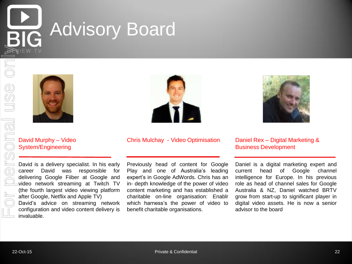## Advisory Board





David Murphy – Video System/Engineering

David is a delivery specialist. In his early career David was responsible for delivering Google Fiiber at Google and video network streaming at Twitch TV (the fourth largest video viewing platform after Google, Netflix and Apple TV) David's advice on streaming network configuration and video content delivery is invaluable.



#### Chris Mulchay - Video Optimisation Daniel Rex – Digital Marketing &

Previously head of content for Google Play and one of Australia's leading expert's in Google AdWords. Chris has an in- depth knowledge of the power of video content marketing and has established a charitable on-line organisation: Enablr which harness's the power of video to benefit charitable organisations.



### Business Development

Daniel is a digital marketing expert and current head of Google channel intelligence for Europe. In his previous role as head of channel sales for Google Australia & NZ, Daniel watched BRTV grow from start-up to significant player in digital video assets. He is now a senior advisor to the board